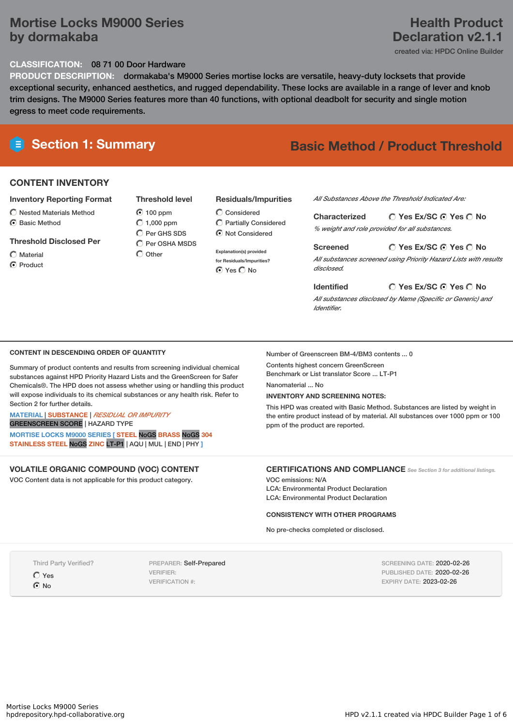# **Mortise Locks M9000 Series by dormakaba**

### **CLASSIFICATION:** 08 71 00 Door Hardware

**PRODUCT DESCRIPTION:** dormakaba's M9000 Series mortise locks are versatile, heavy-duty locksets that provide exceptional security, enhanced aesthetics, and rugged dependability. These locks are available in a range of lever and knob trim designs. The M9000 Series features more than 40 functions, with optional deadbolt for security and single motion egress to meet code requirements.

# **Section 1: Summary Basic Method / Product Threshold**

### **CONTENT INVENTORY**

#### **Inventory Reporting Format**

 $\bigcirc$  Nested Materials Method  $\odot$  Basic Method

#### **Threshold Disclosed Per**

 $\bigcap$  Material

C Product

# 100 ppm  $O$  1,000 ppm C Per GHS SDS

 $\bigcap$  Per OSHA MSDS  $\bigcirc$  Other

#### **Residuals/Impurities**

 $\mathbb C$  Considered Partially Considered Not Considered

**Explanation(s) provided for Residuals/Impurities? ⊙** Yes ○ No

#### *All Substances Above the Threshold Indicated Are:*

**Yes Ex/SC Yes No Characterized** *% weight and role provided for all substances.*

**Yes Ex/SC Yes No Screened** *All substances screened using Priority Hazard Lists with results disclosed.*

**Yes Ex/SC Yes No Identified** *All substances disclosed by Name (Specific or Generic) and Identifier.*

#### **CONTENT IN DESCENDING ORDER OF QUANTITY**

Summary of product contents and results from screening individual chemical substances against HPD Priority Hazard Lists and the GreenScreen for Safer Chemicals®. The HPD does not assess whether using or handling this product will expose individuals to its chemical substances or any health risk. Refer to Section 2 for further details.

#### **MATERIAL** | **SUBSTANCE** | *RESIDUAL OR IMPURITY*

GREENSCREEN SCORE | HAZARD TYPE

**MORTISE LOCKS M9000 SERIES [ STEEL** NoGS **BRASS** NoGS **304 STAINLESS STEEL** NoGS **ZINC** LT-P1 | AQU | MUL | END | PHY **]**

# **VOLATILE ORGANIC COMPOUND (VOC) CONTENT**

VOC Content data is not applicable for this product category.

## Number of Greenscreen BM-4/BM3 contents ... 0

Contents highest concern GreenScreen Benchmark or List translator Score ... LT-P1

Nanomaterial No.

#### **INVENTORY AND SCREENING NOTES:**

This HPD was created with Basic Method. Substances are listed by weight in the entire product instead of by material. All substances over 1000 ppm or 100 ppm of the product are reported.

### **CERTIFICATIONS AND COMPLIANCE** *See Section <sup>3</sup> for additional listings.*

VOC emissions: N/A LCA: Environmental Product Declaration LCA: Environmental Product Declaration

#### **CONSISTENCY WITH OTHER PROGRAMS**

No pre-checks completed or disclosed.

Third Party Verified?

Yes

 $\odot$  No

PREPARER: Self-Prepared VERIFIER: VERIFICATION #:

SCREENING DATE: 2020-02-26 PUBLISHED DATE: 2020-02-26 EXPIRY DATE: 2023-02-26

# **Declaration v2.1.1** created via: HPDC Online Builder

**Health Product**

**Threshold level**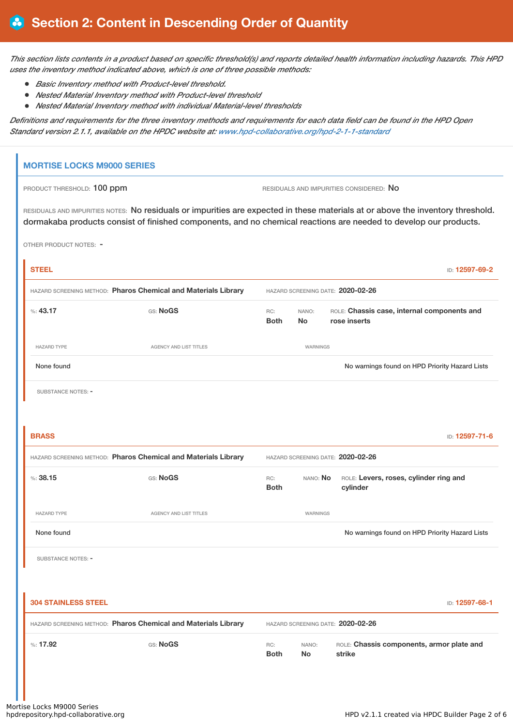This section lists contents in a product based on specific threshold(s) and reports detailed health information including hazards. This HPD *uses the inventory method indicated above, which is one of three possible methods:*

- *Basic Inventory method with Product-level threshold.*
- *Nested Material Inventory method with Product-level threshold*
- *Nested Material Inventory method with individual Material-level thresholds*

Definitions and requirements for the three inventory methods and requirements for each data field can be found in the HPD Open *Standard version 2.1.1, available on the HPDC website at: [www.hpd-collaborative.org/hpd-2-1-1-standard](https://www.hpd-collaborative.org/hpd-2-1-1-standard)*

# **MORTISE LOCKS M9000 SERIES**

PRODUCT THRESHOLD: 100 ppm **RESIDUALS** AND IMPURITIES CONSIDERED: No

RESIDUALS AND IMPURITIES NOTES: No residuals or impurities are expected in these materials at or above the inventory threshold. dormakaba products consist of finished components, and no chemical reactions are needed to develop our products.

OTHER PRODUCT NOTES: -

| <b>STEEL</b>               |                                                                                                     |                                   |                    | ID: 12597-69-2                                              |
|----------------------------|-----------------------------------------------------------------------------------------------------|-----------------------------------|--------------------|-------------------------------------------------------------|
|                            | HAZARD SCREENING METHOD: Pharos Chemical and Materials Library                                      | HAZARD SCREENING DATE: 2020-02-26 |                    |                                                             |
| %: 43.17                   | GS: NoGS                                                                                            | RC:<br><b>Both</b>                | NANO:<br><b>No</b> | ROLE: Chassis case, internal components and<br>rose inserts |
| <b>HAZARD TYPE</b>         | AGENCY AND LIST TITLES                                                                              |                                   | WARNINGS           |                                                             |
| None found                 |                                                                                                     |                                   |                    | No warnings found on HPD Priority Hazard Lists              |
| SUBSTANCE NOTES: -         |                                                                                                     |                                   |                    |                                                             |
|                            |                                                                                                     |                                   |                    |                                                             |
| <b>BRASS</b>               |                                                                                                     |                                   |                    | ID: 12597-71-6                                              |
|                            | HAZARD SCREENING METHOD: Pharos Chemical and Materials Library                                      |                                   |                    | HAZARD SCREENING DATE: 2020-02-26                           |
| %: 38.15                   | GS: NoGS                                                                                            | RC:<br><b>Both</b>                | NANO: No           | ROLE: Levers, roses, cylinder ring and<br>cylinder          |
| <b>HAZARD TYPE</b>         | AGENCY AND LIST TITLES                                                                              |                                   | WARNINGS           |                                                             |
| None found                 |                                                                                                     |                                   |                    | No warnings found on HPD Priority Hazard Lists              |
| <b>SUBSTANCE NOTES: -</b>  |                                                                                                     |                                   |                    |                                                             |
|                            |                                                                                                     |                                   |                    |                                                             |
| <b>304 STAINLESS STEEL</b> |                                                                                                     |                                   |                    | ID: 12597-68-1                                              |
|                            | HAZARD SCREENING METHOD: Pharos Chemical and Materials Library<br>HAZARD SCREENING DATE: 2020-02-26 |                                   |                    |                                                             |
| $\%: 17.92$                | GS: NoGS                                                                                            | RC:<br><b>Both</b>                | NANO:<br><b>No</b> | ROLE: Chassis components, armor plate and<br>strike         |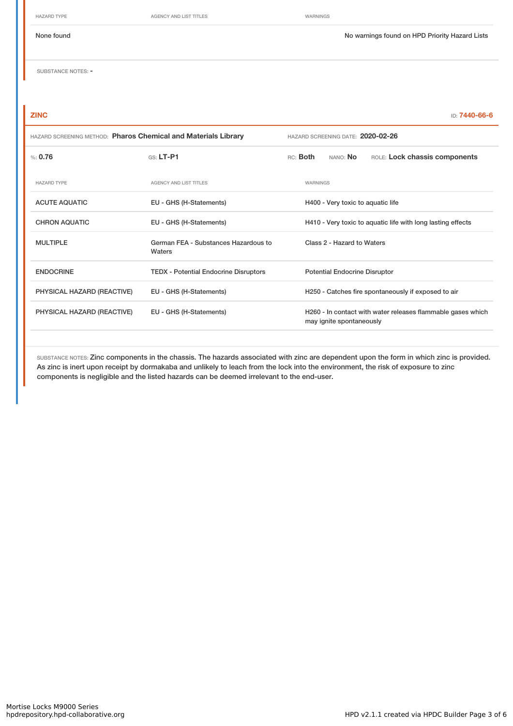HAZARD TYPE **AGENCY AND LIST TITLES** WARNINGS

None found Now arrings found on HPD Priority Hazard Lists

SUBSTANCE NOTES: -

| <b>ZINC</b>                                                    |                                                | ID: 7440-66-6                                                                           |  |  |  |
|----------------------------------------------------------------|------------------------------------------------|-----------------------------------------------------------------------------------------|--|--|--|
| HAZARD SCREENING METHOD: Pharos Chemical and Materials Library |                                                | HAZARD SCREENING DATE: 2020-02-26                                                       |  |  |  |
| % 0.76                                                         | GS: LT-P1                                      | NANO: No<br>ROLE: Lock chassis components<br>RC: Both                                   |  |  |  |
| <b>HAZARD TYPE</b>                                             | <b>AGENCY AND LIST TITLES</b>                  | WARNINGS                                                                                |  |  |  |
| <b>ACUTE AQUATIC</b>                                           | EU - GHS (H-Statements)                        | H400 - Very toxic to aquatic life                                                       |  |  |  |
| <b>CHRON AQUATIC</b>                                           | EU - GHS (H-Statements)                        | H410 - Very toxic to aquatic life with long lasting effects                             |  |  |  |
| <b>MULTIPLE</b>                                                | German FEA - Substances Hazardous to<br>Waters | Class 2 - Hazard to Waters                                                              |  |  |  |
| <b>ENDOCRINE</b>                                               | <b>TEDX - Potential Endocrine Disruptors</b>   | <b>Potential Endocrine Disruptor</b>                                                    |  |  |  |
| PHYSICAL HAZARD (REACTIVE)                                     | EU - GHS (H-Statements)                        | H250 - Catches fire spontaneously if exposed to air                                     |  |  |  |
| PHYSICAL HAZARD (REACTIVE)                                     | EU - GHS (H-Statements)                        | H260 - In contact with water releases flammable gases which<br>may ignite spontaneously |  |  |  |
|                                                                |                                                |                                                                                         |  |  |  |

SUBSTANCE NOTES: Zinc components in the chassis. The hazards associated with zinc are dependent upon the form in which zinc is provided. As zinc is inert upon receipt by dormakaba and unlikely to leach from the lock into the environment, the risk of exposure to zinc components is negligible and the listed hazards can be deemed irrelevant to the end-user.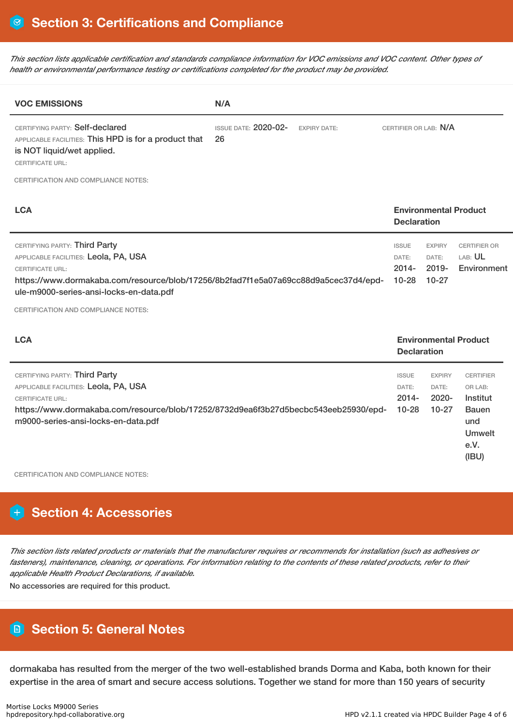This section lists applicable certification and standards compliance information for VOC emissions and VOC content. Other types of *health or environmental performance testing or certifications completed for the product may be provided.*

| <b>VOC EMISSIONS</b>                                                                                                                                                                                                                | N/A                                                      |                                                |                                                    |                                                      |  |
|-------------------------------------------------------------------------------------------------------------------------------------------------------------------------------------------------------------------------------------|----------------------------------------------------------|------------------------------------------------|----------------------------------------------------|------------------------------------------------------|--|
| CERTIFYING PARTY: Self-declared<br>APPLICABLE FACILITIES: This HPD is for a product that<br>is NOT liquid/wet applied.<br><b>CERTIFICATE URL:</b>                                                                                   | <b>ISSUE DATE: 2020-02-</b><br><b>EXPIRY DATE:</b><br>26 | CERTIFIER OR LAB: N/A                          |                                                    |                                                      |  |
| <b>CERTIFICATION AND COMPLIANCE NOTES:</b>                                                                                                                                                                                          |                                                          |                                                |                                                    |                                                      |  |
| <b>LCA</b>                                                                                                                                                                                                                          |                                                          |                                                | <b>Environmental Product</b><br><b>Declaration</b> |                                                      |  |
| CERTIFYING PARTY: Third Party<br>APPLICABLE FACILITIES: Leola, PA, USA<br><b>CERTIFICATE URL:</b><br>https://www.dormakaba.com/resource/blob/17256/8b2fad7f1e5a07a69cc88d9a5cec37d4/epd-<br>ule-m9000-series-ansi-locks-en-data.pdf |                                                          | <b>ISSUE</b><br>DATE:<br>$2014 -$<br>$10 - 28$ | <b>EXPIRY</b><br>DATE:<br>$2019 -$<br>$10 - 27$    | <b>CERTIFIER OR</b><br>LAB: <b>UL</b><br>Environment |  |
| CERTIFICATION AND COMPLIANCE NOTES:                                                                                                                                                                                                 |                                                          |                                                |                                                    |                                                      |  |
| <b>LCA</b>                                                                                                                                                                                                                          |                                                          |                                                | <b>Declaration</b>                                 | <b>Environmental Product</b>                         |  |

|                                                                                                                                                                                                                                 | <b>PUULUUU</b>                                 |                                                 |                                                                                                  |
|---------------------------------------------------------------------------------------------------------------------------------------------------------------------------------------------------------------------------------|------------------------------------------------|-------------------------------------------------|--------------------------------------------------------------------------------------------------|
| CERTIFYING PARTY: Third Party<br>APPLICABLE FACILITIES: Leola, PA, USA<br><b>CERTIFICATE URL:</b><br>https://www.dormakaba.com/resource/blob/17252/8732d9ea6f3b27d5becbc543eeb25930/epd-<br>m9000-series-ansi-locks-en-data.pdf | <b>ISSUE</b><br>DATE:<br>$2014 -$<br>$10 - 28$ | <b>EXPIRY</b><br>DATE:<br>$2020 -$<br>$10 - 27$ | <b>CERTIFIER</b><br>OR LAB:<br>Institut<br><b>Bauen</b><br>und<br><b>Umwelt</b><br>e.V.<br>(IBU) |

CERTIFICATION AND COMPLIANCE NOTES:

# **Section 4: Accessories**

This section lists related products or materials that the manufacturer requires or recommends for installation (such as adhesives or fasteners), maintenance, cleaning, or operations. For information relating to the contents of these related products, refer to their *applicable Health Product Declarations, if available.*

No accessories are required for this product.

# **Section 5: General Notes**

dormakaba has resulted from the merger of the two well-established brands Dorma and Kaba, both known for their expertise in the area of smart and secure access solutions. Together we stand for more than 150 years of security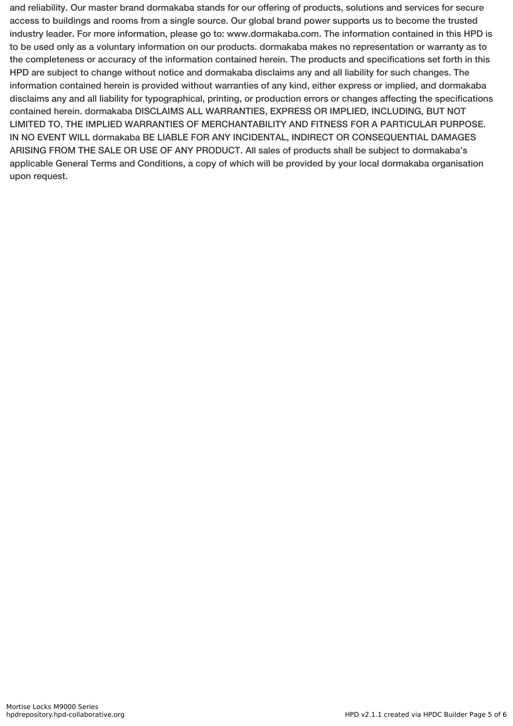and reliability. Our master brand dormakaba stands for our offering of products, solutions and services for secure access to buildings and rooms from a single source. Our global brand power supports us to become the trusted industry leader. For more information, please go to: www.dormakaba.com. The information contained in this HPD is to be used only as a voluntary information on our products. dormakaba makes no representation or warranty as to the completeness or accuracy of the information contained herein. The products and specifications set forth in this HPD are subject to change without notice and dormakaba disclaims any and all liability for such changes. The information contained herein is provided without warranties of any kind, either express or implied, and dormakaba disclaims any and all liability for typographical, printing, or production errors or changes affecting the specifications contained herein. dormakaba DISCLAIMS ALL WARRANTIES, EXPRESS OR IMPLIED, INCLUDING, BUT NOT LIMITED TO, THE IMPLIED WARRANTIES OF MERCHANTABILITY AND FITNESS FOR A PARTICULAR PURPOSE. IN NO EVENT WILL dormakaba BE LIABLE FOR ANY INCIDENTAL, INDIRECT OR CONSEQUENTIAL DAMAGES ARISING FROM THE SALE OR USE OF ANY PRODUCT. All sales of products shall be subject to dormakaba's applicable General Terms and Conditions, a copy of which will be provided by your local dormakaba organisation upon request.